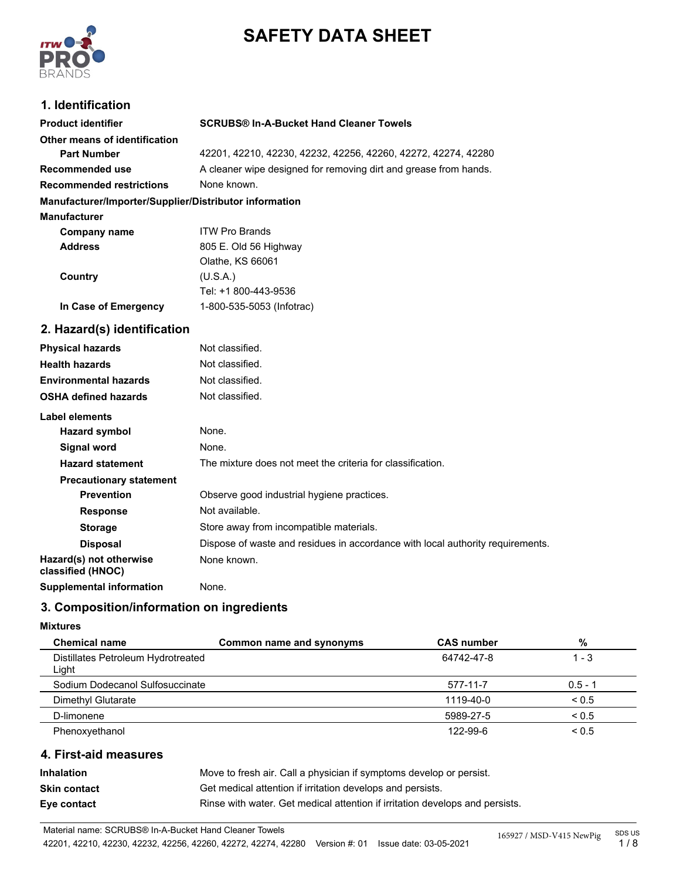

# **SAFETY DATA SHEET**

## **1. Identification**

| <b>Product identifier</b>                              | <b>SCRUBS® In-A-Bucket Hand Cleaner Towels</b>                                 |
|--------------------------------------------------------|--------------------------------------------------------------------------------|
| Other means of identification                          |                                                                                |
| <b>Part Number</b>                                     | 42201, 42210, 42230, 42232, 42256, 42260, 42272, 42274, 42280                  |
| Recommended use                                        | A cleaner wipe designed for removing dirt and grease from hands.               |
| <b>Recommended restrictions</b>                        | None known.                                                                    |
| Manufacturer/Importer/Supplier/Distributor information |                                                                                |
| <b>Manufacturer</b>                                    |                                                                                |
| <b>Company name</b>                                    | <b>ITW Pro Brands</b>                                                          |
| <b>Address</b>                                         | 805 E. Old 56 Highway                                                          |
|                                                        | Olathe, KS 66061                                                               |
| Country                                                | (U.S.A.)                                                                       |
|                                                        | Tel: +1 800-443-9536                                                           |
| In Case of Emergency                                   | 1-800-535-5053 (Infotrac)                                                      |
| 2. Hazard(s) identification                            |                                                                                |
| <b>Physical hazards</b>                                | Not classified.                                                                |
| <b>Health hazards</b>                                  | Not classified.                                                                |
| <b>Environmental hazards</b>                           | Not classified.                                                                |
| <b>OSHA defined hazards</b>                            | Not classified.                                                                |
| Label elements                                         |                                                                                |
| <b>Hazard symbol</b>                                   | None.                                                                          |
| Signal word                                            | None.                                                                          |
| <b>Hazard statement</b>                                | The mixture does not meet the criteria for classification.                     |
| <b>Precautionary statement</b>                         |                                                                                |
| <b>Prevention</b>                                      | Observe good industrial hygiene practices.                                     |
| <b>Response</b>                                        | Not available.                                                                 |
| <b>Storage</b>                                         | Store away from incompatible materials.                                        |
| <b>Disposal</b>                                        | Dispose of waste and residues in accordance with local authority requirements. |
| Hazard(s) not otherwise<br>classified (HNOC)           | None known.                                                                    |
| <b>Supplemental information</b>                        | None.                                                                          |

## **3. Composition/information on ingredients**

#### **Mixtures**

| <b>Chemical name</b>                        | Common name and synonyms | <b>CAS number</b> | %          |
|---------------------------------------------|--------------------------|-------------------|------------|
| Distillates Petroleum Hydrotreated<br>Light |                          | 64742-47-8        | $1 - 3$    |
| Sodium Dodecanol Sulfosuccinate             |                          | 577-11-7          | $0.5 - 1$  |
| Dimethyl Glutarate                          |                          | 1119-40-0         | ${}_{0.5}$ |
| D-limonene                                  |                          | 5989-27-5         | ${}_{0.5}$ |
| Phenoxyethanol                              |                          | 122-99-6          | ${}_{0.5}$ |

#### **4. First-aid measures**

| Inhalation          | Move to fresh air. Call a physician if symptoms develop or persist.          |
|---------------------|------------------------------------------------------------------------------|
| <b>Skin contact</b> | Get medical attention if irritation develops and persists.                   |
| Eye contact         | Rinse with water. Get medical attention if irritation develops and persists. |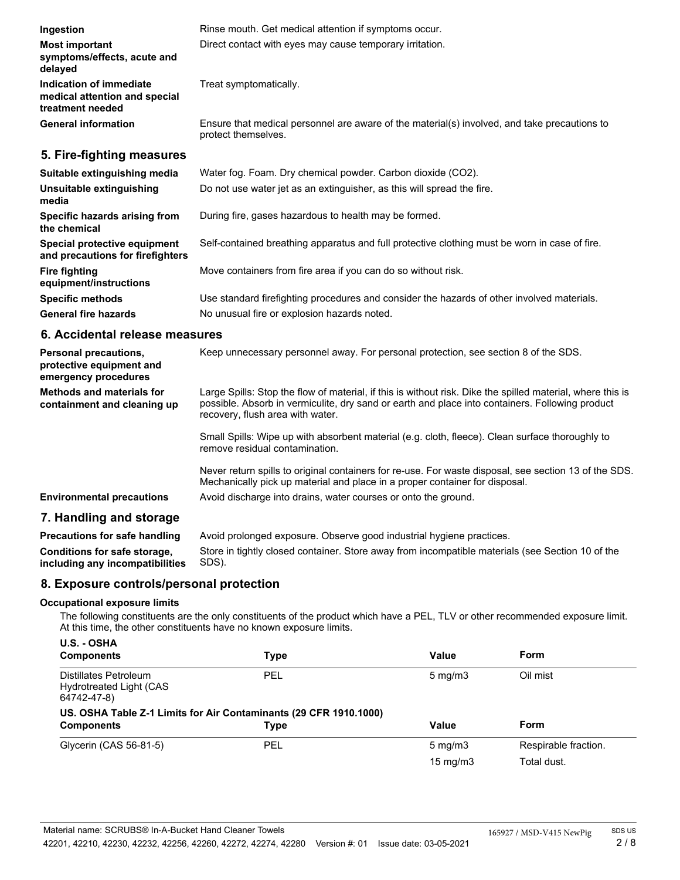| Ingestion                                                                    | Rinse mouth. Get medical attention if symptoms occur.                                                               |
|------------------------------------------------------------------------------|---------------------------------------------------------------------------------------------------------------------|
| <b>Most important</b><br>symptoms/effects, acute and<br>delayed              | Direct contact with eyes may cause temporary irritation.                                                            |
| Indication of immediate<br>medical attention and special<br>treatment needed | Treat symptomatically.                                                                                              |
| <b>General information</b>                                                   | Ensure that medical personnel are aware of the material(s) involved, and take precautions to<br>protect themselves. |
| 5. Fire-fighting measures                                                    |                                                                                                                     |
| Suitable extinguishing media                                                 | Water fog. Foam. Dry chemical powder. Carbon dioxide (CO2).                                                         |
| Unsuitable extinguishing<br>media                                            | Do not use water jet as an extinguisher, as this will spread the fire.                                              |
| Specific hazards arising from<br>the chemical                                | During fire, gases hazardous to health may be formed.                                                               |
| Special protective equipment<br>and precautions for firefighters             | Self-contained breathing apparatus and full protective clothing must be worn in case of fire.                       |
| <b>Fire fighting</b><br>equipment/instructions                               | Move containers from fire area if you can do so without risk.                                                       |
| <b>Specific methods</b>                                                      | Use standard firefighting procedures and consider the hazards of other involved materials.                          |
| <b>General fire hazards</b>                                                  | No unusual fire or explosion hazards noted.                                                                         |

#### **6. Accidental release measures**

| Personal precautions,<br>protective equipment and<br>emergency procedures | Keep unnecessary personnel away. For personal protection, see section 8 of the SDS.                                                                                                                                                               |
|---------------------------------------------------------------------------|---------------------------------------------------------------------------------------------------------------------------------------------------------------------------------------------------------------------------------------------------|
| Methods and materials for<br>containment and cleaning up                  | Large Spills: Stop the flow of material, if this is without risk. Dike the spilled material, where this is<br>possible. Absorb in vermiculite, dry sand or earth and place into containers. Following product<br>recovery, flush area with water. |
|                                                                           | Small Spills: Wipe up with absorbent material (e.g. cloth, fleece). Clean surface thoroughly to<br>remove residual contamination.                                                                                                                 |
|                                                                           | Never return spills to original containers for re-use. For waste disposal, see section 13 of the SDS.<br>Mechanically pick up material and place in a proper container for disposal.                                                              |
| <b>Environmental precautions</b>                                          | Avoid discharge into drains, water courses or onto the ground.                                                                                                                                                                                    |
| 7. Handling and storage                                                   |                                                                                                                                                                                                                                                   |
| <b>Precautions for safe handling</b>                                      | Avoid prolonged exposure. Observe good industrial hygiene practices.                                                                                                                                                                              |

| Precautions for safe handling   | Avoid prolonged exposure. Observe good industrial hygiene practices.                             |
|---------------------------------|--------------------------------------------------------------------------------------------------|
| Conditions for safe storage,    | Store in tightly closed container. Store away from incompatible materials (see Section 10 of the |
| including any incompatibilities | SDS).                                                                                            |

## **8. Exposure controls/personal protection**

#### **Occupational exposure limits**

The following constituents are the only constituents of the product which have a PEL, TLV or other recommended exposure limit. At this time, the other constituents have no known exposure limits.

| U.S. - OSHA<br><b>Components</b>                                  | <b>Type</b> | Value            | <b>Form</b>          |
|-------------------------------------------------------------------|-------------|------------------|----------------------|
| Distillates Petroleum<br>Hydrotreated Light (CAS<br>64742-47-8)   | PEL         | $5 \text{ mg/m}$ | Oil mist             |
| US. OSHA Table Z-1 Limits for Air Contaminants (29 CFR 1910.1000) |             |                  |                      |
| <b>Components</b>                                                 | <b>Type</b> | Value            | <b>Form</b>          |
| Glycerin (CAS 56-81-5)                                            | PEL         | $5 \text{ mg/m}$ | Respirable fraction. |
|                                                                   |             | 15 mg/m $3$      | Total dust.          |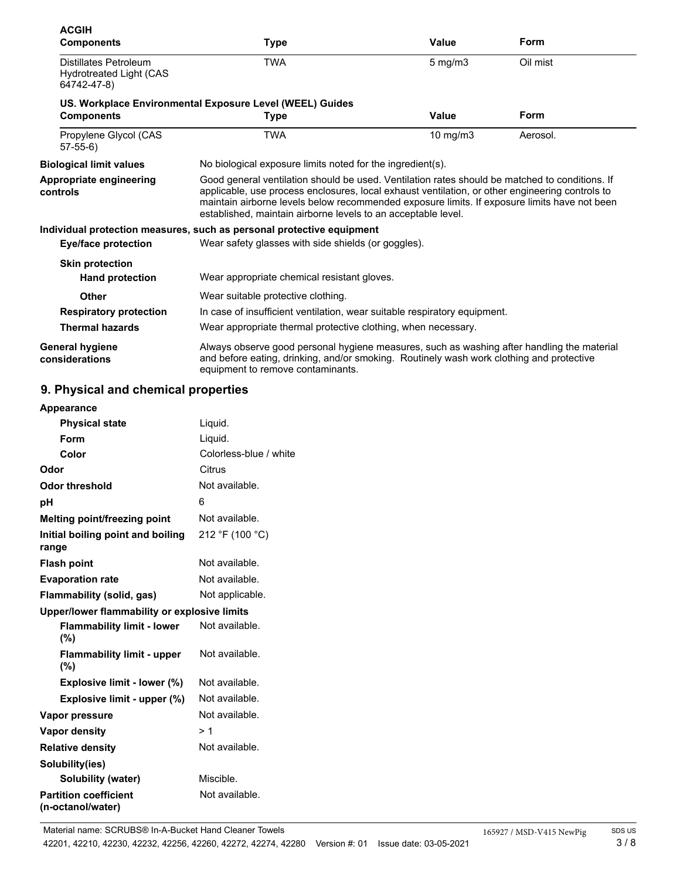| <b>ACGIH</b><br><b>Components</b>                                      | Type                                                                                                                                                                                                                                                                                                                                                               | <b>Value</b> | Form     |
|------------------------------------------------------------------------|--------------------------------------------------------------------------------------------------------------------------------------------------------------------------------------------------------------------------------------------------------------------------------------------------------------------------------------------------------------------|--------------|----------|
| Distillates Petroleum<br><b>Hydrotreated Light (CAS</b><br>64742-47-8) | <b>TWA</b>                                                                                                                                                                                                                                                                                                                                                         | $5$ mg/m $3$ | Oil mist |
|                                                                        | US. Workplace Environmental Exposure Level (WEEL) Guides                                                                                                                                                                                                                                                                                                           |              |          |
| <b>Components</b>                                                      | Type                                                                                                                                                                                                                                                                                                                                                               | Value        | Form     |
| Propylene Glycol (CAS<br>$57-55-6$                                     | <b>TWA</b>                                                                                                                                                                                                                                                                                                                                                         | 10 mg/m3     | Aerosol. |
| <b>Biological limit values</b>                                         | No biological exposure limits noted for the ingredient(s).                                                                                                                                                                                                                                                                                                         |              |          |
| Appropriate engineering<br>controls                                    | Good general ventilation should be used. Ventilation rates should be matched to conditions. If<br>applicable, use process enclosures, local exhaust ventilation, or other engineering controls to<br>maintain airborne levels below recommended exposure limits. If exposure limits have not been<br>established, maintain airborne levels to an acceptable level. |              |          |
|                                                                        | Individual protection measures, such as personal protective equipment                                                                                                                                                                                                                                                                                              |              |          |
| Eye/face protection                                                    | Wear safety glasses with side shields (or goggles).                                                                                                                                                                                                                                                                                                                |              |          |
| <b>Skin protection</b>                                                 |                                                                                                                                                                                                                                                                                                                                                                    |              |          |
| <b>Hand protection</b>                                                 | Wear appropriate chemical resistant gloves.                                                                                                                                                                                                                                                                                                                        |              |          |
| <b>Other</b>                                                           | Wear suitable protective clothing.                                                                                                                                                                                                                                                                                                                                 |              |          |
| <b>Respiratory protection</b>                                          | In case of insufficient ventilation, wear suitable respiratory equipment.                                                                                                                                                                                                                                                                                          |              |          |
| <b>Thermal hazards</b>                                                 | Wear appropriate thermal protective clothing, when necessary.                                                                                                                                                                                                                                                                                                      |              |          |
| General hygiene<br>considerations                                      | Always observe good personal hygiene measures, such as washing after handling the material<br>and before eating, drinking, and/or smoking. Routinely wash work clothing and protective<br>equipment to remove contaminants.                                                                                                                                        |              |          |

## **9. Physical and chemical properties**

| Appearance                                        |                        |
|---------------------------------------------------|------------------------|
| <b>Physical state</b>                             | Liquid.                |
| Form                                              | Liquid.                |
| Color                                             | Colorless-blue / white |
| Odor                                              | Citrus                 |
| <b>Odor threshold</b>                             | Not available.         |
| рH                                                | 6                      |
| Melting point/freezing point                      | Not available.         |
| Initial boiling point and boiling<br>range        | 212 °F (100 °C)        |
| <b>Flash point</b>                                | Not available.         |
| <b>Evaporation rate</b>                           | Not available.         |
| Flammability (solid, gas)                         | Not applicable.        |
| Upper/lower flammability or explosive limits      |                        |
| <b>Flammability limit - lower</b><br>(%)          | Not available.         |
| <b>Flammability limit - upper</b><br>(%)          | Not available.         |
| Explosive limit - lower (%)                       | Not available.         |
| Explosive limit - upper (%)                       | Not available.         |
| Vapor pressure                                    | Not available.         |
| Vapor density                                     | >1                     |
| <b>Relative density</b>                           | Not available.         |
| Solubility(ies)                                   |                        |
| Solubility (water)                                | Miscible.              |
| <b>Partition coefficient</b><br>(n-octanol/water) | Not available.         |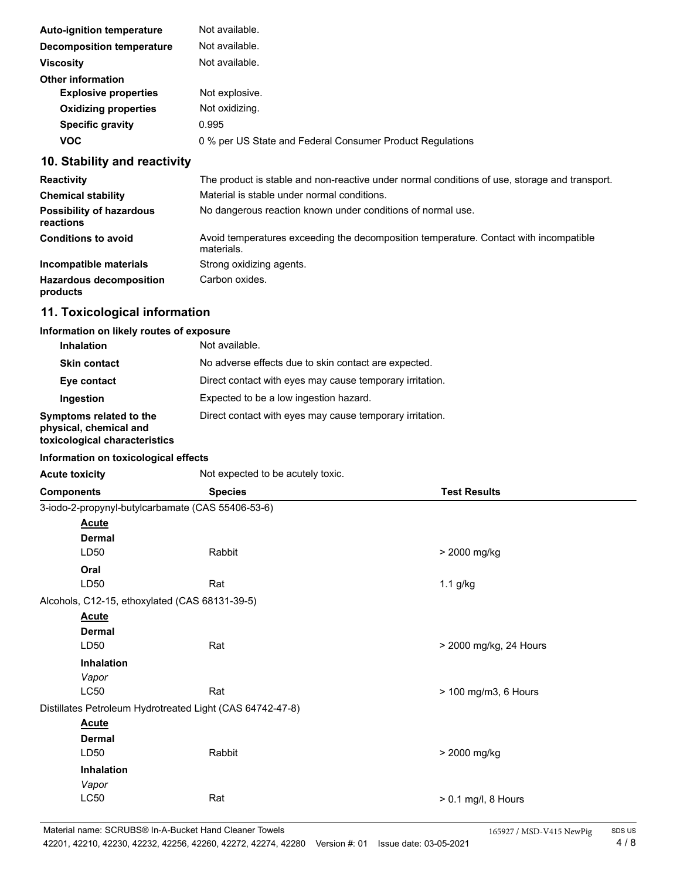| <b>Auto-ignition temperature</b> | Not available.                                            |
|----------------------------------|-----------------------------------------------------------|
| <b>Decomposition temperature</b> | Not available.                                            |
| <b>Viscosity</b>                 | Not available.                                            |
| <b>Other information</b>         |                                                           |
| <b>Explosive properties</b>      | Not explosive.                                            |
| <b>Oxidizing properties</b>      | Not oxidizing.                                            |
| <b>Specific gravity</b>          | 0.995                                                     |
| <b>VOC</b>                       | 0 % per US State and Federal Consumer Product Regulations |
|                                  |                                                           |

## **10. Stability and reactivity**

| <b>Reactivity</b>                            | The product is stable and non-reactive under normal conditions of use, storage and transport.       |
|----------------------------------------------|-----------------------------------------------------------------------------------------------------|
| <b>Chemical stability</b>                    | Material is stable under normal conditions.                                                         |
| <b>Possibility of hazardous</b><br>reactions | No dangerous reaction known under conditions of normal use.                                         |
| <b>Conditions to avoid</b>                   | Avoid temperatures exceeding the decomposition temperature. Contact with incompatible<br>materials. |
| Incompatible materials                       | Strong oxidizing agents.                                                                            |
| <b>Hazardous decomposition</b><br>products   | Carbon oxides.                                                                                      |

## **11. Toxicological information**

#### **Information on likely routes of exposure**

| <b>Inhalation</b>                                                                  | Not available.                                           |
|------------------------------------------------------------------------------------|----------------------------------------------------------|
| <b>Skin contact</b>                                                                | No adverse effects due to skin contact are expected.     |
| Eye contact                                                                        | Direct contact with eyes may cause temporary irritation. |
| Ingestion                                                                          | Expected to be a low ingestion hazard.                   |
| Symptoms related to the<br>physical, chemical and<br>toxicological characteristics | Direct contact with eyes may cause temporary irritation. |

#### **Information on toxicological effects**

| <b>Acute toxicity</b>                          | Not expected to be acutely toxic.                         |                        |
|------------------------------------------------|-----------------------------------------------------------|------------------------|
| <b>Components</b>                              | <b>Species</b>                                            | <b>Test Results</b>    |
|                                                | 3-iodo-2-propynyl-butylcarbamate (CAS 55406-53-6)         |                        |
| <b>Acute</b>                                   |                                                           |                        |
| <b>Dermal</b>                                  |                                                           |                        |
| LD50                                           | Rabbit                                                    | > 2000 mg/kg           |
| Oral                                           |                                                           |                        |
| LD50                                           | Rat                                                       | 1.1 g/kg               |
| Alcohols, C12-15, ethoxylated (CAS 68131-39-5) |                                                           |                        |
| <b>Acute</b>                                   |                                                           |                        |
| <b>Dermal</b>                                  |                                                           |                        |
| LD50                                           | Rat                                                       | > 2000 mg/kg, 24 Hours |
| Inhalation                                     |                                                           |                        |
| Vapor                                          |                                                           |                        |
| <b>LC50</b>                                    | Rat                                                       | > 100 mg/m3, 6 Hours   |
|                                                | Distillates Petroleum Hydrotreated Light (CAS 64742-47-8) |                        |
| <b>Acute</b>                                   |                                                           |                        |
| <b>Dermal</b>                                  |                                                           |                        |
| LD50                                           | Rabbit                                                    | > 2000 mg/kg           |
| Inhalation                                     |                                                           |                        |
| Vapor                                          |                                                           |                        |
| LC50                                           | Rat                                                       | > 0.1 mg/l, 8 Hours    |
|                                                |                                                           |                        |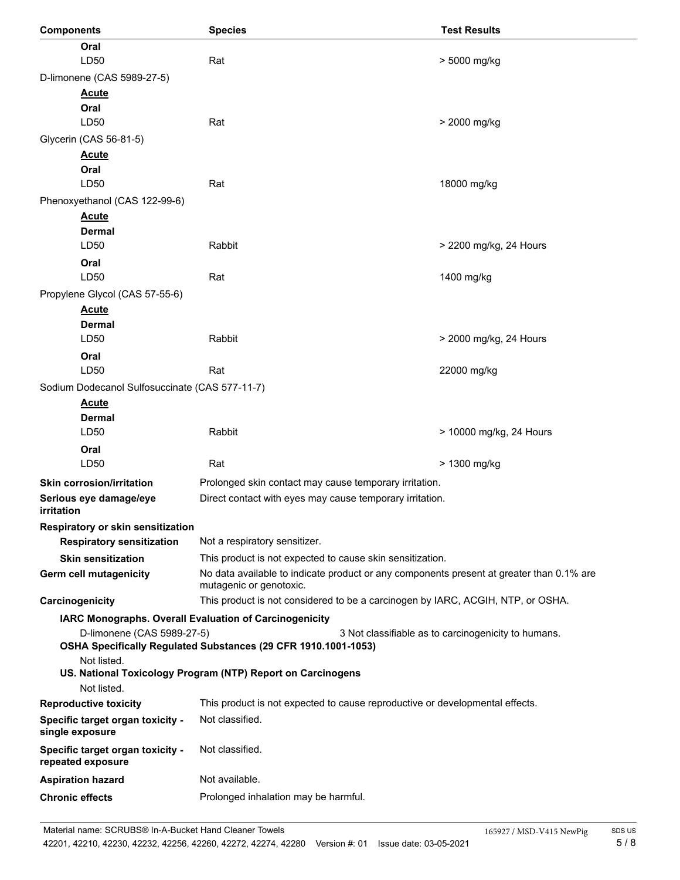| <b>Components</b>                                     | <b>Species</b>                                                                                                      | <b>Test Results</b>                                 |
|-------------------------------------------------------|---------------------------------------------------------------------------------------------------------------------|-----------------------------------------------------|
| Oral                                                  |                                                                                                                     |                                                     |
| LD50                                                  | Rat                                                                                                                 | > 5000 mg/kg                                        |
| D-limonene (CAS 5989-27-5)                            |                                                                                                                     |                                                     |
| <b>Acute</b>                                          |                                                                                                                     |                                                     |
| Oral                                                  |                                                                                                                     |                                                     |
| LD50                                                  | Rat                                                                                                                 | > 2000 mg/kg                                        |
| Glycerin (CAS 56-81-5)                                |                                                                                                                     |                                                     |
| <b>Acute</b><br>Oral                                  |                                                                                                                     |                                                     |
| LD50                                                  | Rat                                                                                                                 | 18000 mg/kg                                         |
| Phenoxyethanol (CAS 122-99-6)                         |                                                                                                                     |                                                     |
| <b>Acute</b>                                          |                                                                                                                     |                                                     |
| <b>Dermal</b>                                         |                                                                                                                     |                                                     |
| LD50                                                  | Rabbit                                                                                                              | > 2200 mg/kg, 24 Hours                              |
| Oral                                                  |                                                                                                                     |                                                     |
| LD50                                                  | Rat                                                                                                                 | 1400 mg/kg                                          |
| Propylene Glycol (CAS 57-55-6)                        |                                                                                                                     |                                                     |
| <b>Acute</b>                                          |                                                                                                                     |                                                     |
| <b>Dermal</b>                                         |                                                                                                                     |                                                     |
| LD50                                                  | Rabbit                                                                                                              | > 2000 mg/kg, 24 Hours                              |
| Oral                                                  |                                                                                                                     |                                                     |
| LD50                                                  | Rat                                                                                                                 | 22000 mg/kg                                         |
| Sodium Dodecanol Sulfosuccinate (CAS 577-11-7)        |                                                                                                                     |                                                     |
| <b>Acute</b><br><b>Dermal</b>                         |                                                                                                                     |                                                     |
| LD50                                                  | Rabbit                                                                                                              | > 10000 mg/kg, 24 Hours                             |
| Oral                                                  |                                                                                                                     |                                                     |
| LD50                                                  | Rat                                                                                                                 | > 1300 mg/kg                                        |
| <b>Skin corrosion/irritation</b>                      | Prolonged skin contact may cause temporary irritation.                                                              |                                                     |
| Serious eye damage/eye                                | Direct contact with eyes may cause temporary irritation.                                                            |                                                     |
| <i>irritation</i>                                     |                                                                                                                     |                                                     |
| Respiratory or skin sensitization                     |                                                                                                                     |                                                     |
| <b>Respiratory sensitization</b>                      | Not a respiratory sensitizer.                                                                                       |                                                     |
| <b>Skin sensitization</b>                             | This product is not expected to cause skin sensitization.                                                           |                                                     |
| Germ cell mutagenicity                                | No data available to indicate product or any components present at greater than 0.1% are<br>mutagenic or genotoxic. |                                                     |
| Carcinogenicity                                       | This product is not considered to be a carcinogen by IARC, ACGIH, NTP, or OSHA.                                     |                                                     |
|                                                       | IARC Monographs. Overall Evaluation of Carcinogenicity                                                              |                                                     |
| D-limonene (CAS 5989-27-5)                            | OSHA Specifically Regulated Substances (29 CFR 1910.1001-1053)                                                      | 3 Not classifiable as to carcinogenicity to humans. |
| Not listed.                                           | US. National Toxicology Program (NTP) Report on Carcinogens                                                         |                                                     |
| Not listed.                                           |                                                                                                                     |                                                     |
| <b>Reproductive toxicity</b>                          | This product is not expected to cause reproductive or developmental effects.                                        |                                                     |
| Specific target organ toxicity -<br>single exposure   | Not classified.                                                                                                     |                                                     |
| Specific target organ toxicity -<br>repeated exposure | Not classified.                                                                                                     |                                                     |
| <b>Aspiration hazard</b>                              | Not available.                                                                                                      |                                                     |
| <b>Chronic effects</b>                                | Prolonged inhalation may be harmful.                                                                                |                                                     |
|                                                       |                                                                                                                     |                                                     |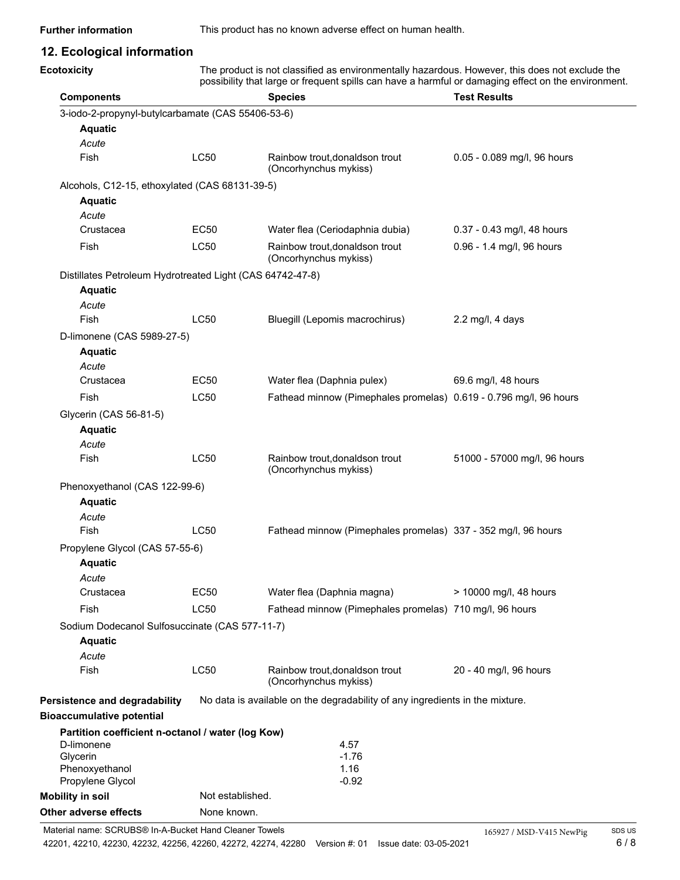**Further information** This product has no known adverse effect on human health.

## **12. Ecological information**

| <b>Ecotoxicity</b> |  |
|--------------------|--|
| <b>Components</b>  |  |

The product is not classified as environmentally hazardous. However, this does not exclude the possibility that large or frequent spills can have a harmful or damaging effect on the environment.

| <b>Components</b>                                               |                  | <b>Species</b>                                                               | <b>Test Results</b>          |
|-----------------------------------------------------------------|------------------|------------------------------------------------------------------------------|------------------------------|
| 3-iodo-2-propynyl-butylcarbamate (CAS 55406-53-6)               |                  |                                                                              |                              |
| <b>Aquatic</b>                                                  |                  |                                                                              |                              |
| Acute                                                           |                  |                                                                              |                              |
| Fish                                                            | <b>LC50</b>      | Rainbow trout, donaldson trout<br>(Oncorhynchus mykiss)                      | 0.05 - 0.089 mg/l, 96 hours  |
| Alcohols, C12-15, ethoxylated (CAS 68131-39-5)                  |                  |                                                                              |                              |
| <b>Aquatic</b>                                                  |                  |                                                                              |                              |
| Acute                                                           |                  |                                                                              |                              |
| Crustacea                                                       | EC <sub>50</sub> | Water flea (Ceriodaphnia dubia)                                              | 0.37 - 0.43 mg/l, 48 hours   |
| Fish                                                            | <b>LC50</b>      | Rainbow trout, donaldson trout<br>(Oncorhynchus mykiss)                      | 0.96 - 1.4 mg/l, 96 hours    |
| Distillates Petroleum Hydrotreated Light (CAS 64742-47-8)       |                  |                                                                              |                              |
| <b>Aquatic</b>                                                  |                  |                                                                              |                              |
| Acute                                                           |                  |                                                                              |                              |
| Fish                                                            | LC50             | Bluegill (Lepomis macrochirus)                                               | $2.2 \text{ mg/l}$ , 4 days  |
| D-limonene (CAS 5989-27-5)                                      |                  |                                                                              |                              |
| <b>Aquatic</b>                                                  |                  |                                                                              |                              |
| Acute                                                           |                  |                                                                              |                              |
| Crustacea                                                       | EC50             | Water flea (Daphnia pulex)                                                   | 69.6 mg/l, 48 hours          |
| Fish                                                            | LC50             | Fathead minnow (Pimephales promelas) 0.619 - 0.796 mg/l, 96 hours            |                              |
| Glycerin (CAS 56-81-5)                                          |                  |                                                                              |                              |
| <b>Aquatic</b>                                                  |                  |                                                                              |                              |
| Acute                                                           |                  |                                                                              |                              |
| Fish                                                            | <b>LC50</b>      | Rainbow trout, donaldson trout<br>(Oncorhynchus mykiss)                      | 51000 - 57000 mg/l, 96 hours |
| Phenoxyethanol (CAS 122-99-6)                                   |                  |                                                                              |                              |
| <b>Aquatic</b>                                                  |                  |                                                                              |                              |
| Acute                                                           |                  |                                                                              |                              |
| Fish                                                            | <b>LC50</b>      | Fathead minnow (Pimephales promelas) 337 - 352 mg/l, 96 hours                |                              |
| Propylene Glycol (CAS 57-55-6)                                  |                  |                                                                              |                              |
| <b>Aquatic</b>                                                  |                  |                                                                              |                              |
| Acute                                                           |                  |                                                                              |                              |
| Crustacea                                                       | <b>EC50</b>      | Water flea (Daphnia magna)                                                   | > 10000 mg/l, 48 hours       |
| Fish                                                            | <b>LC50</b>      | Fathead minnow (Pimephales promelas) 710 mg/l, 96 hours                      |                              |
| Sodium Dodecanol Sulfosuccinate (CAS 577-11-7)                  |                  |                                                                              |                              |
| <b>Aquatic</b>                                                  |                  |                                                                              |                              |
| Acute                                                           |                  |                                                                              |                              |
| Fish                                                            | <b>LC50</b>      | Rainbow trout, donaldson trout<br>(Oncorhynchus mykiss)                      | 20 - 40 mg/l, 96 hours       |
| Persistence and degradability                                   |                  | No data is available on the degradability of any ingredients in the mixture. |                              |
| <b>Bioaccumulative potential</b>                                |                  |                                                                              |                              |
| Partition coefficient n-octanol / water (log Kow)<br>D-limonene |                  | 4.57                                                                         |                              |
| Glycerin                                                        |                  | $-1.76$                                                                      |                              |
| Phenoxyethanol<br>Propylene Glycol                              |                  | 1.16<br>$-0.92$                                                              |                              |
| <b>Mobility in soil</b>                                         | Not established. |                                                                              |                              |
| Other adverse effects                                           | None known.      |                                                                              |                              |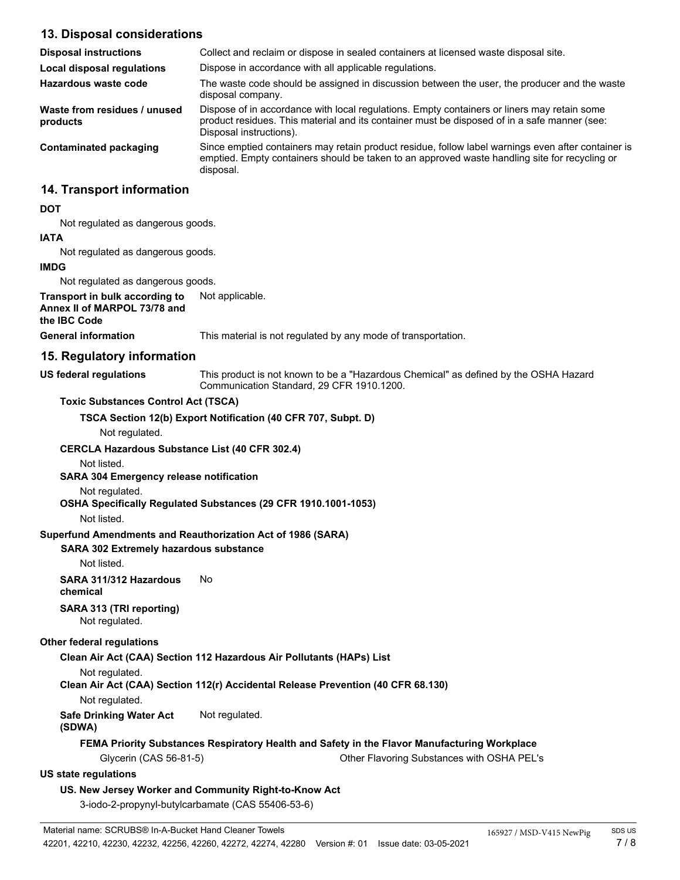### **13. Disposal considerations**

| <b>Disposal instructions</b>             | Collect and reclaim or dispose in sealed containers at licensed waste disposal site.                                                                                                                                   |
|------------------------------------------|------------------------------------------------------------------------------------------------------------------------------------------------------------------------------------------------------------------------|
| <b>Local disposal regulations</b>        | Dispose in accordance with all applicable regulations.                                                                                                                                                                 |
| Hazardous waste code                     | The waste code should be assigned in discussion between the user, the producer and the waste<br>disposal company.                                                                                                      |
| Waste from residues / unused<br>products | Dispose of in accordance with local regulations. Empty containers or liners may retain some<br>product residues. This material and its container must be disposed of in a safe manner (see:<br>Disposal instructions). |
| Contaminated packaging                   | Since emptied containers may retain product residue, follow label warnings even after container is<br>emptied. Empty containers should be taken to an approved waste handling site for recycling or<br>disposal.       |
| 14. Transport information                |                                                                                                                                                                                                                        |

#### **DOT**

Not regulated as dangerous goods.

#### **IATA**

Not regulated as dangerous goods.

#### **IMDG**

Not regulated as dangerous goods.

**Transport in bulk according to** Not applicable. **Annex II of MARPOL 73/78 and**

#### **the IBC Code**

**General information** This material is not regulated by any mode of transportation.

#### **15. Regulatory information**

**US federal regulations**

This product is not known to be a "Hazardous Chemical" as defined by the OSHA Hazard Communication Standard, 29 CFR 1910.1200.

#### **Toxic Substances Control Act (TSCA)**

**TSCA Section 12(b) Export Notification (40 CFR 707, Subpt. D)**

#### Not regulated.

#### **CERCLA Hazardous Substance List (40 CFR 302.4)**

Not listed.

#### **SARA 304 Emergency release notification**

#### Not regulated.

#### **OSHA Specifically Regulated Substances (29 CFR 1910.1001-1053)**

Not listed.

#### **Superfund Amendments and Reauthorization Act of 1986 (SARA)**

#### **SARA 302 Extremely hazardous substance**

Not listed.

#### **SARA 311/312 Hazardous** No **chemical**

# **SARA 313 (TRI reporting)**

Not regulated.

#### **Other federal regulations**

#### **Clean Air Act (CAA) Section 112 Hazardous Air Pollutants (HAPs) List**

Not regulated.

**Clean Air Act (CAA) Section 112(r) Accidental Release Prevention (40 CFR 68.130)**

Not regulated.

#### **Safe Drinking Water Act** Not regulated.

#### **(SDWA)**

#### **FEMA Priority Substances Respiratory Health and Safety in the Flavor Manufacturing Workplace**

Glycerin (CAS 56-81-5) Other Flavoring Substances with OSHA PEL's

#### **US state regulations**

#### **US. New Jersey Worker and Community Right-to-Know Act**

3-iodo-2-propynyl-butylcarbamate (CAS 55406-53-6)